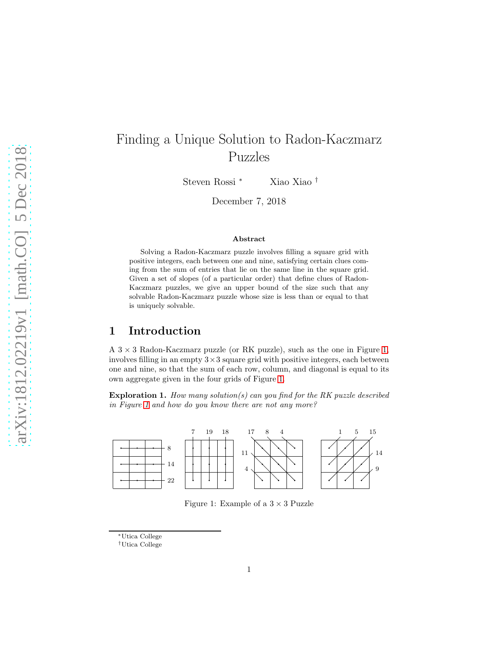# Finding a Unique Solution to Radon-Kaczmarz Puzzles

Steven Rossi <sup>∗</sup> Xiao Xiao †

December 7, 2018

#### Abstract

Solving a Radon-Kaczmarz puzzle involves filling a square grid with positive integers, each between one and nine, satisfying certain clues coming from the sum of entries that lie on the same line in the square grid. Given a set of slopes (of a particular order) that define clues of Radon-Kaczmarz puzzles, we give an upper bound of the size such that any solvable Radon-Kaczmarz puzzle whose size is less than or equal to that is uniquely solvable.

### 1 Introduction

A  $3 \times 3$  Radon-Kaczmarz puzzle (or RK puzzle), such as the one in Figure [1,](#page-0-0) involves filling in an empty  $3 \times 3$  square grid with positive integers, each between one and nine, so that the sum of each row, column, and diagonal is equal to its own aggregate given in the four grids of Figure [1.](#page-0-0)

Exploration 1. *How many solution(s) can you find for the RK puzzle described in Figure [1](#page-0-0) and how do you know there are not any more?*



<span id="page-0-0"></span>Figure 1: Example of a  $3 \times 3$  Puzzle

<sup>∗</sup>Utica College

<sup>†</sup>Utica College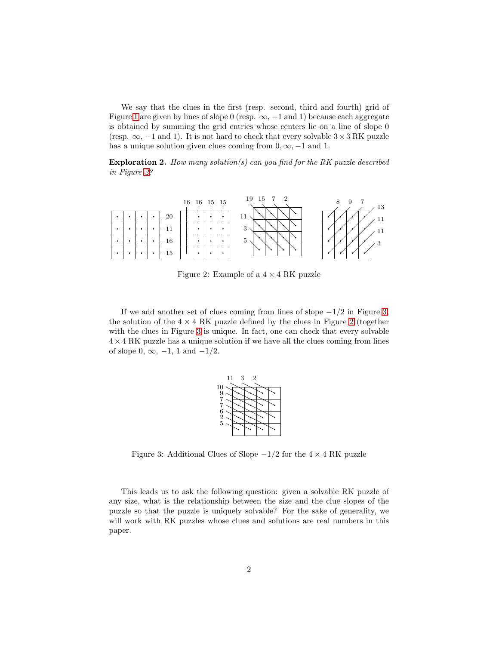We say that the clues in the first (resp. second, third and fourth) grid of Figure [1](#page-0-0) are given by lines of slope 0 (resp.  $\infty$ ,  $-1$  and 1) because each aggregate is obtained by summing the grid entries whose centers lie on a line of slope 0 (resp.  $\infty$ , -1 and 1). It is not hard to check that every solvable  $3 \times 3 \text{ RK puzzle}$ has a unique solution given clues coming from  $0, \infty, -1$  and 1.

Exploration 2. *How many solution(s) can you find for the RK puzzle described in Figure [2?](#page-1-0)*



<span id="page-1-0"></span>Figure 2: Example of a  $4 \times 4$  RK puzzle

If we add another set of clues coming from lines of slope  $-1/2$  in Figure [3,](#page-1-1) the solution of the  $4 \times 4$  RK puzzle defined by the clues in Figure [2](#page-1-0) (together with the clues in Figure [3](#page-1-1) is unique. In fact, one can check that every solvable  $4 \times 4$  RK puzzle has a unique solution if we have all the clues coming from lines of slope  $0, \infty, -1, 1$  and  $-1/2$ .



<span id="page-1-1"></span>Figure 3: Additional Clues of Slope  $-1/2$  for the  $4 \times 4$  RK puzzle

This leads us to ask the following question: given a solvable RK puzzle of any size, what is the relationship between the size and the clue slopes of the puzzle so that the puzzle is uniquely solvable? For the sake of generality, we will work with RK puzzles whose clues and solutions are real numbers in this paper.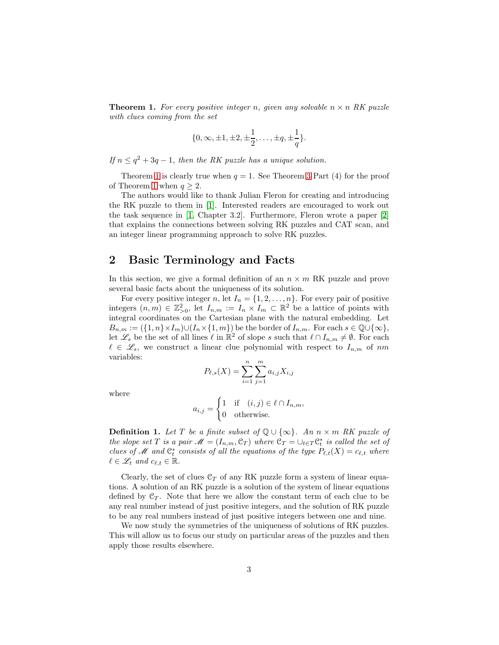<span id="page-2-0"></span>**Theorem 1.** For every positive integer n, given any solvable  $n \times n$  RK puzzle *with clues coming from the set*

$$
\{0, \infty, \pm 1, \pm 2, \pm \frac{1}{2}, \dots, \pm q, \pm \frac{1}{q}\}.
$$

*If*  $n \leq q^2 + 3q - 1$ *, then the RK puzzle has a unique solution.* 

Theorem [1](#page-2-0) is clearly true when  $q = 1$ . See Theorem [3](#page-7-0) Part (4) for the proof of Theorem [1](#page-2-0) when  $q > 2$ .

The authors would like to thank Julian Fleron for creating and introducing the RK puzzle to them in [\[1\]](#page-9-0). Interested readers are encouraged to work out the task sequence in [\[1,](#page-9-0) Chapter 3.2]. Furthermore, Fleron wrote a paper [\[2\]](#page-9-1) that explains the connections between solving RK puzzles and CAT scan, and an integer linear programming approach to solve RK puzzles.

### 2 Basic Terminology and Facts

In this section, we give a formal definition of an  $n \times m$  RK puzzle and prove several basic facts about the uniqueness of its solution.

For every positive integer n, let  $I_n = \{1, 2, ..., n\}$ . For every pair of positive integers  $(n,m) \in \mathbb{Z}_{>0}^2$ , let  $I_{n,m} := I_n \times I_m \subset \mathbb{R}^2$  be a lattice of points with integral coordinates on the Cartesian plane with the natural embedding. Let  $B_{n,m} := (\{1, n\} \times I_m) \cup (I_n \times \{1, m\})$  be the border of  $I_{n,m}$ . For each  $s \in \mathbb{Q} \cup \{\infty\},$ let  $\mathscr{L}_s$  be the set of all lines  $\ell$  in  $\mathbb{R}^2$  of slope s such that  $\ell \cap I_{n,m} \neq \emptyset$ . For each  $\ell \in \mathscr{L}_{s}$ , we construct a linear clue polynomial with respect to  $I_{n,m}$  of nm variables:

$$
P_{\ell,s}(X) = \sum_{i=1}^{n} \sum_{j=1}^{m} a_{i,j} X_{i,j}
$$

where

$$
a_{i,j} = \begin{cases} 1 & \text{if } (i,j) \in \ell \cap I_{n,m}, \\ 0 & \text{otherwise.} \end{cases}
$$

**Definition 1.** *Let*  $T$  *be a finite subset of*  $\mathbb{Q} \cup \{ \infty \}$ *. An*  $n \times m$  *RK puzzle of the slope set* T *is a pair*  $\mathcal{M} = (I_{n,m}, \mathcal{C}_T)$  *where*  $\mathcal{C}_T = \cup_{t \in T} \mathcal{C}_t^*$  *is called the set of clues of* M and  $C_t^*$  *consists of all the equations of the type*  $P_{\ell,t}(X) = c_{\ell,t}$  *where*  $\ell \in \mathcal{L}_t$  and  $c_{\ell,t} \in \mathbb{R}$ .

Clearly, the set of clues  $\mathcal{C}_T$  of any RK puzzle form a system of linear equations. A solution of an RK puzzle is a solution of the system of linear equations defined by  $C_T$ . Note that here we allow the constant term of each clue to be any real number instead of just positive integers, and the solution of RK puzzle to be any real numbers instead of just positive integers between one and nine.

We now study the symmetries of the uniqueness of solutions of RK puzzles. This will allow us to focus our study on particular areas of the puzzles and then apply those results elsewhere.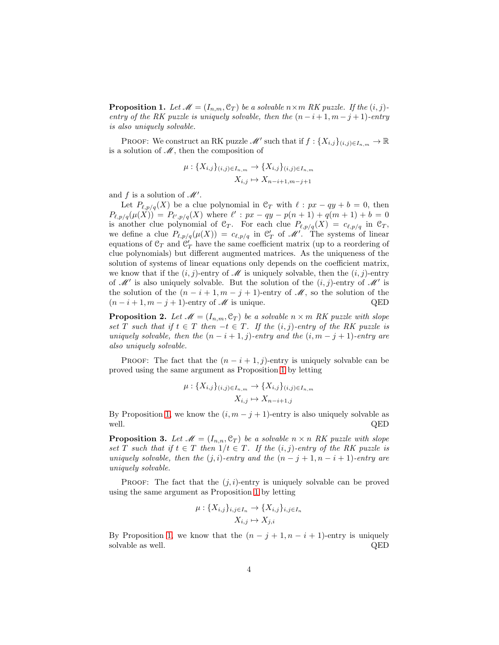<span id="page-3-0"></span>**Proposition 1.** Let  $\mathcal{M} = (I_{n,m}, \mathcal{C}_T)$  be a solvable  $n \times m$  RK puzzle. If the  $(i, j)$ *entry of the RK puzzle is uniquely solvable, then the*  $(n - i + 1, m - j + 1)$ *-entry is also uniquely solvable.*

PROOF: We construct an RK puzzle  $\mathscr{M}'$  such that if  $f: \{X_{i,j}\}_{(i,j)\in I_{n,m}} \to \mathbb{R}$ is a solution of  $\mathcal{M}$ , then the composition of

$$
\mu: \{X_{i,j}\}_{(i,j)\in I_{n,m}} \to \{X_{i,j}\}_{(i,j)\in I_{n,m}}
$$

$$
X_{i,j} \mapsto X_{n-i+1,m-j+1}
$$

and f is a solution of  $\mathscr{M}'$ .

Let  $P_{\ell,p/q}(X)$  be a clue polynomial in  $\mathcal{C}_T$  with  $\ell:px-qy+b=0$ , then  $P_{\ell,p/q}(\mu(X)) = P_{\ell',p/q}(X)$  where  $\ell' : px - qy - p(n+1) + q(m+1) + b = 0$ is another clue polynomial of  $\mathcal{C}_T$ . For each clue  $P_{\ell,p/q}(X) = c_{\ell,p/q}$  in  $\mathcal{C}_T$ , we define a clue  $P_{\ell,p/q}(\mu(X)) = c_{\ell,p/q}$  in  $\mathcal{C}'_T$  of  $\mathcal{M}'$ . The systems of linear equations of  $\mathfrak{C}_T$  and  $\mathfrak{C}'_T$  have the same coefficient matrix (up to a reordering of clue polynomials) but different augmented matrices. As the uniqueness of the solution of systems of linear equations only depends on the coefficient matrix, we know that if the  $(i, j)$ -entry of  $\mathscr M$  is uniquely solvable, then the  $(i, j)$ -entry of  $\mathcal{M}'$  is also uniquely solvable. But the solution of the  $(i, j)$ -entry of  $\mathcal{M}'$  is the solution of the  $(n-i+1,m-j+1)$ -entry of  $\mathcal M$ , so the solution of the  $(n-i+1, m-j+1)$ -entry of  $\mathscr M$  is unique. QED

<span id="page-3-2"></span>**Proposition 2.** Let  $\mathcal{M} = (I_{n,m}, \mathcal{C}_T)$  be a solvable  $n \times m$  RK puzzle with slope *set* T *such that if*  $t \in T$  *then*  $-t \in T$ *. If the*  $(i, j)$ *-entry of the RK puzzle is uniquely solvable, then the*  $(n - i + 1, j)$ *-entry and the*  $(i, m - j + 1)$ *-entry are also uniquely solvable.*

PROOF: The fact that the  $(n - i + 1, i)$ -entry is uniquely solvable can be proved using the same argument as Proposition [1](#page-3-0) by letting

$$
\mu: \{X_{i,j}\}_{(i,j)\in I_{n,m}} \to \{X_{i,j}\}_{(i,j)\in I_{n,m}}
$$

$$
X_{i,j} \mapsto X_{n-i+1,j}
$$

By Proposition [1,](#page-3-0) we know the  $(i, m - j + 1)$ -entry is also uniquely solvable as well.  $QED$ 

<span id="page-3-1"></span>**Proposition 3.** Let  $\mathcal{M} = (I_{n,n}, \mathcal{C}_T)$  be a solvable  $n \times n$  RK puzzle with slope *set* T *such that* if  $t \in T$  *then*  $1/t \in T$ *. If the*  $(i, j)$ *-entry of the RK puzzle is uniquely solvable, then the*  $(j, i)$ *-entry and the*  $(n - j + 1, n - i + 1)$ *-entry are uniquely solvable.*

PROOF: The fact that the  $(j, i)$ -entry is uniquely solvable can be proved using the same argument as Proposition [1](#page-3-0) by letting

$$
\mu: \{X_{i,j}\}_{i,j \in I_n} \to \{X_{i,j}\}_{i,j \in I_n}
$$

$$
X_{i,j} \mapsto X_{j,i}
$$

By Proposition [1,](#page-3-0) we know that the  $(n - j + 1, n - i + 1)$ -entry is uniquely solvable as well.  $\hfill \text{QED}$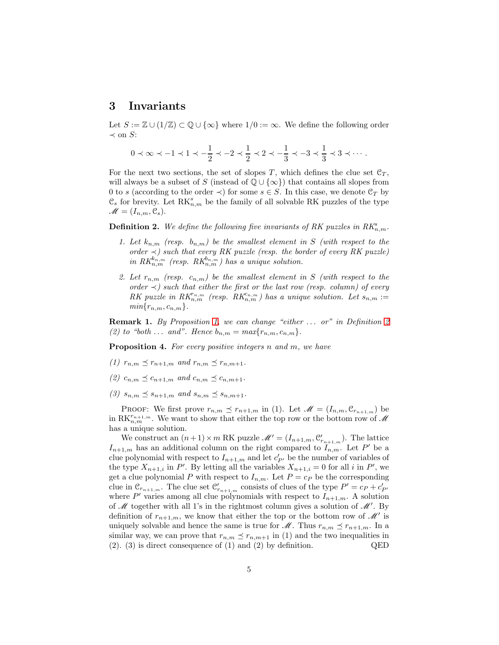### 3 Invariants

Let  $S := \mathbb{Z} \cup (1/\mathbb{Z}) \subset \mathbb{Q} \cup \{\infty\}$  where  $1/0 := \infty$ . We define the following order  $\prec$  on S:

$$
0\prec \infty \prec -1 \prec 1 \prec -\frac{1}{2} \prec -2 \prec \frac{1}{2} \prec 2 \prec -\frac{1}{3} \prec -3 \prec \frac{1}{3} \prec 3 \prec \cdots.
$$

For the next two sections, the set of slopes T, which defines the clue set  $\mathfrak{C}_T$ , will always be a subset of S (instead of  $\mathbb{Q} \cup {\infty}$ ) that contains all slopes from 0 to s (according to the order  $\prec$ ) for some  $s \in S$ . In this case, we denote  $\mathcal{C}_T$  by  $\mathfrak{C}_s$  for brevity. Let  $\mathrm{RK}_{n,m}^s$  be the family of all solvable RK puzzles of the type  $\mathscr{M} = (I_{n,m}, \mathcal{C}_s).$ 

<span id="page-4-0"></span>**Definition 2.** We define the following five invariants of RK puzzles in  $RK_{n,m}^s$ .

- *1. Let*  $k_{n,m}$  (resp.  $b_{n,m}$ ) be the smallest element in S (with respect to the *order* ≺*) such that every RK puzzle (resp. the border of every RK puzzle)*  $\inf RK_{n,m}^{k_{n,m}}$  (resp.  $RK_{n,m}^{b_{n,m}}$ ) has a unique solution.
- 2. Let  $r_{n,m}$  (resp.  $c_{n,m}$ ) be the smallest element in S (with respect to the *order*  $\prec$ *)* such that either the first or the last row (resp. column) of every *RK* puzzle in  $RK_{n,m}^{r_{n,m}}$  (resp.  $RK_{n,m}^{c_{n,m}}$ ) has a unique solution. Let  $s_{n,m}$  :=  $min\{r_{n,m}, c_{n,m}\}.$

<span id="page-4-1"></span>Remark 1. *By Proposition [1,](#page-3-0) we can change "either* . . . *or" in Definition [2](#page-4-0) (2) to "both* ... *and". Hence*  $b_{n,m} = max\{r_{n,m}, c_{n,m}\}.$ 

Proposition 4. *For every positive integers* n *and* m*, we have*

- *(1)*  $r_{n,m} \leq r_{n+1,m}$  *and*  $r_{n,m} \leq r_{n,m+1}$ .
- *(2)*  $c_{n,m} \leq c_{n+1,m}$  *and*  $c_{n,m} \leq c_{n,m+1}$ .
- *(3)*  $s_{n,m} \leq s_{n+1,m}$  and  $s_{n,m} \leq s_{n,m+1}$ .

PROOF: We first prove  $r_{n,m} \preceq r_{n+1,m}$  in (1). Let  $\mathscr{M} = (I_{n,m}, \mathcal{C}_{r_{n+1,m}})$  be in  $\mathrm{RK}_{n,m}^{r_{n+1,m}}$ . We want to show that either the top row or the bottom row of  $\mathcal M$ has a unique solution.

We construct an  $(n+1) \times m$  RK puzzle  $\mathcal{M}' = (I_{n+1,m}, \mathcal{C}'_{r_{n+1,m}})$ . The lattice  $I_{n+1,m}$  has an additional column on the right compared to  $I_{n,m}$ . Let P' be a clue polynomial with respect to  $I_{n+1,m}$  and let  $c'_{P'}$  be the number of variables of the type  $X_{n+1,i}$  in P'. By letting all the variables  $X_{n+1,i} = 0$  for all i in P', we get a clue polynomial P with respect to  $I_{n,m}$ . Let  $P = c_P$  be the corresponding clue in  $\mathcal{C}_{r_{n+1,m}}$ . The clue set  $\mathcal{C}'_{r_{n+1,m}}$  consists of clues of the type  $P' = c_P + c'_{P'}$ where P' varies among all clue polynomials with respect to  $I_{n+1,m}$ . A solution of  $M$  together with all 1's in the rightmost column gives a solution of  $M'$ . By definition of  $r_{n+1,m}$ , we know that either the top or the bottom row of  $\mathscr{M}'$  is uniquely solvable and hence the same is true for  $\mathscr{M}$ . Thus  $r_{n,m} \preceq r_{n+1,m}$ . In a similar way, we can prove that  $r_{n,m} \preceq r_{n,m+1}$  in (1) and the two inequalities in (2). (3) is direct consequence of (1) and (2) by definition. QED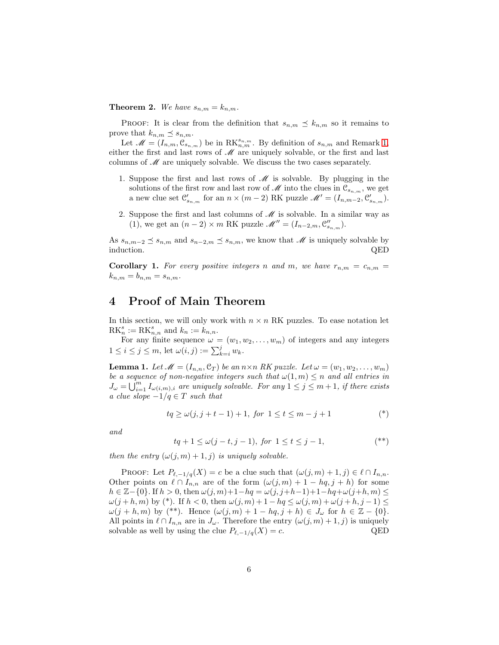**Theorem 2.** We have  $s_{n,m} = k_{n,m}$ .

PROOF: It is clear from the definition that  $s_{n,m} \preceq k_{n,m}$  so it remains to prove that  $k_{n,m} \preceq s_{n,m}$ .

Let  $\mathscr{M} = (I_{n,m}, \mathscr{C}_{s_{n,m}})$  be in  $\text{RK}_{n,m}^{s_{n,m}}$ . By definition of  $s_{n,m}$  and Remark [1,](#page-4-1) either the first and last rows of  $\mathcal M$  are uniquely solvable, or the first and last columns of  $\mathcal M$  are uniquely solvable. We discuss the two cases separately.

- 1. Suppose the first and last rows of  $\mathcal M$  is solvable. By plugging in the solutions of the first row and last row of  $\mathscr M$  into the clues in  $\mathcal{C}_{s_{n,m}}$ , we get a new clue set  $\mathcal{C}'_{s_{n,m}}$  for an  $n \times (m-2)$  RK puzzle  $\mathcal{M}' = (I_{n,m-2}, \mathcal{C}'_{s_{n,m}})$ .
- 2. Suppose the first and last columns of  $\mathcal M$  is solvable. In a similar way as (1), we get an  $(n-2) \times m$  RK puzzle  $\mathcal{M}'' = (I_{n-2,m}, \mathcal{C}_{s_{n,m}}'')$ .

As  $s_{n,m-2} \preceq s_{n,m}$  and  $s_{n-2,m} \preceq s_{n,m}$ , we know that  $\mathscr M$  is uniquely solvable by induction. QED

<span id="page-5-1"></span>**Corollary 1.** For every positive integers n and m, we have  $r_{n,m} = c_{n,m}$  $k_{n,m} = b_{n,m} = s_{n,m}.$ 

### 4 Proof of Main Theorem

In this section, we will only work with  $n \times n$  RK puzzles. To ease notation let  $\mathrm{RK}_n^s := \mathrm{RK}_{n,n}^s$  and  $k_n := k_{n,n}$ .

For any finite sequence  $\omega = (w_1, w_2, \dots, w_m)$  of integers and any integers  $1 \leq i \leq j \leq m$ , let  $\omega(i, j) := \sum_{k=i}^{j} w_k$ .

<span id="page-5-0"></span>**Lemma 1.** Let  $\mathcal{M} = (I_{n,n}, \mathcal{C}_T)$  be an  $n \times n$  RK puzzle. Let  $\omega = (w_1, w_2, \dots, w_m)$ *be a sequence of non-negative integers such that*  $\omega(1, m) \leq n$  *and all entries in*  $J_{\omega} = \bigcup_{i=1}^{m} I_{\omega(i,m),i}$  are uniquely solvable. For any  $1 \leq j \leq m+1$ , if there exists *a clue slope*  $-1/q \in T$  *such that* 

$$
tq \ge \omega(j, j+t-1) + 1, \text{ for } 1 \le t \le m-j+1
$$
 (\*)

*and*

$$
tq + 1 \le \omega(j - t, j - 1), \text{ for } 1 \le t \le j - 1,
$$
  $(**)$ 

*then the entry*  $(\omega(j,m) + 1, j)$  *is uniquely solvable.* 

PROOF: Let  $P_{\ell,-1/q}(X) = c$  be a clue such that  $(\omega(j,m) + 1, j) \in \ell \cap I_{n,n}$ . Other points on  $\ell \cap I_{n,n}$  are of the form  $(\omega(j,m) + 1 - hq, j + h)$  for some  $h \in \mathbb{Z}-\{0\}$ . If  $h > 0$ , then  $\omega(j, m)+1-hq = \omega(j, j+h-1)+1-hq+\omega(j+h, m)$  ≤  $\omega(j+h,m)$  by (\*). If  $h < 0$ , then  $\omega(j,m) + 1 - hq \leq \omega(j,m) + \omega(j+h, j-1) \leq$  $\omega(j + h, m)$  by (\*\*). Hence  $(\omega(j, m) + 1 - hq, j + h) \in J_\omega$  for  $h \in \mathbb{Z} - \{0\}.$ All points in  $\ell \cap I_{n,n}$  are in  $J_{\omega}$ . Therefore the entry  $(\omega(j,m) + 1, j)$  is uniquely solvable as well by using the clue  $P_{\ell,-1/q}(X) = c$ . QED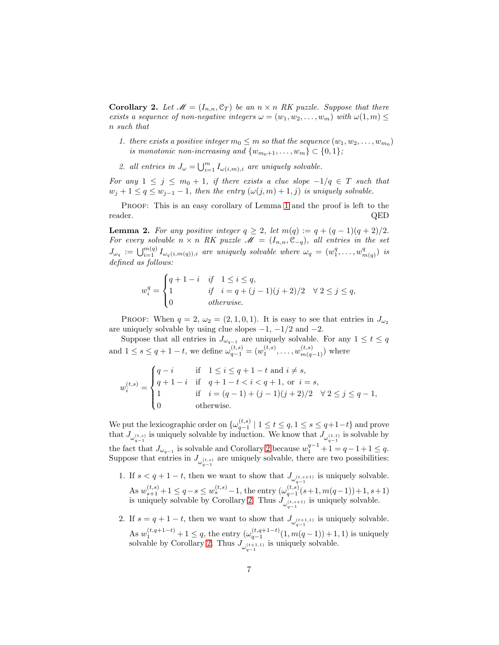<span id="page-6-0"></span>**Corollary 2.** Let  $\mathcal{M} = (I_{n,n}, \mathcal{C}_T)$  be an  $n \times n$  RK puzzle. Suppose that there *exists a sequence of non-negative integers*  $\omega = (w_1, w_2, \ldots, w_m)$  *with*  $\omega(1,m) \leq$ n *such that*

- *1. there exists a positive integer*  $m_0 \leq m$  *so that the sequence*  $(w_1, w_2, \ldots, w_{m_0})$ *is monotonic non-increasing and*  $\{w_{m_0+1}, \ldots, w_m\} \subset \{0, 1\}$ ;
- 2. all entries in  $J_{\omega} = \bigcup_{i=1}^{m} I_{\omega(i,m),i}$  are uniquely solvable.

*For any*  $1 \leq j \leq m_0 + 1$ , *if there exists a clue slope*  $-1/q \in T$  *such that*  $w_j + 1 \leq q \leq w_{j-1} - 1$ , then the entry  $(\omega(j,m) + 1, j)$  is uniquely solvable.

PROOF: This is an easy corollary of Lemma [1](#page-5-0) and the proof is left to the reader. QED

<span id="page-6-1"></span>**Lemma 2.** For any positive integer  $q \geq 2$ , let  $m(q) := q + (q - 1)(q + 2)/2$ . *For every solvable*  $n \times n$  *RK puzzle*  $M = (I_{n,n}, \mathcal{C}_{-q})$ *, all entries in the set*  $J_{\omega_q} := \bigcup_{i=1}^{m(q)} I_{\omega_q(i,m(q)),i}$  are uniquely solvable where  $\omega_q = (w_1^q, \ldots, w_n^q)$  $\binom{q}{m(q)}$  *is defined as follows:*

$$
w_i^q = \begin{cases} q + 1 - i & if \quad 1 \le i \le q, \\ 1 & if \quad i = q + (j - 1)(j + 2)/2 \\ 0 & otherwise. \end{cases} \quad \forall \ 2 \le j \le q,
$$

PROOF: When  $q = 2, \omega_2 = (2, 1, 0, 1)$ . It is easy to see that entries in  $J_{\omega_2}$ are uniquely solvable by using clue slopes  $-1$ ,  $-1/2$  and  $-2$ .

Suppose that all entries in  $J_{\omega_{q-1}}$  are uniquely solvable. For any  $1 \leq t \leq q$ and  $1 \le s \le q+1-t$ , we define  $\omega_{q-1}^{(t,s)} = (w_1^{(t,s)}, \ldots, w_{m(q-1)}^{(t,s)})$  where

$$
w_i^{(t,s)} = \begin{cases} q - i & \text{if } 1 \le i \le q + 1 - t \text{ and } i \ne s, \\ q + 1 - i & \text{if } q + 1 - t < i < q + 1, \text{ or } i = s, \\ 1 & \text{if } i = (q - 1) + (j - 1)(j + 2)/2 \quad \forall \ 2 \le j \le q - 1, \\ 0 & \text{otherwise.} \end{cases}
$$

We put the lexicographic order on  $\{\omega_{q-1}^{(t,s)} \mid 1 \le t \le q, 1 \le s \le q+1-t\}$  and prove that  $J_{\omega_{q-1}^{(t,s)}}$  is uniquely solvable by induction. We know that  $J_{\omega_{q-1}^{(1,1)}}$  is solvable by the fact that  $J_{\omega_{q-1}}$  is solvable and Corollary [2](#page-6-0) because  $w_1^{q-1} + 1 = q-1+1 \leq q$ . Suppose that entries in  $J_{\omega_{q-1}^{(t,s)}}$  are uniquely solvable, there are two possibilities:

- 1. If  $s < q+1-t$ , then we want to show that  $J_{\omega_{q-1}^{(t,s+1)}}$  is uniquely solvable. As  $w_{s+1}^{(t,s)} + 1 \leq q - s \leq w_s^{(t,s)} - 1$ , the entry  $(\omega_{q-1}^{(t,s)}(s+1, m(q-1)) + 1, s+1)$ is uniquely solvable by Corollary [2.](#page-6-0) Thus  $J_{\omega_{q-1}^{(t,s+1)}}$  is uniquely solvable.
- 2. If  $s = q + 1 t$ , then we want to show that  $J_{\omega_{q-1}^{(t+1,1)}}$  is uniquely solvable.  $q-1$ As  $w_1^{(t,q+1-t)} + 1 \leq q$ , the entry  $(\omega_{q-1}^{(t,q+1-t)}(1,m(q-1)) + 1, 1)$  is uniquely solvable by Corollary [2.](#page-6-0) Thus  $J_{\omega_{q-1}^{(t+1,1)}}$  is uniquely solvable.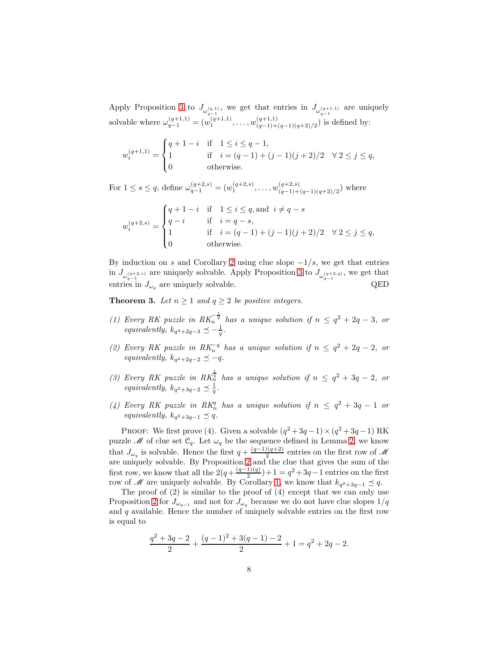Apply Proposition [3](#page-3-1) to  $J_{\omega_{q-1}^{(q,1)}}$ , we get that entries in  $J_{\omega_{q-1}^{(q+1,1)}}$  are uniquely solvable where  $\omega_{q-1}^{(q+1,1)} = (w_1^{(q+1,1)}, \ldots, w_{(q-1)+(q-1)(q+2)/2}^{(q+1,1)})$  is defined by:

$$
w_i^{(q+1,1)} = \begin{cases} q+1-i & \text{if } 1 \le i \le q-1, \\ 1 & \text{if } i = (q-1)+(j-1)(j+2)/2 \\ 0 & \text{otherwise.} \end{cases} \forall 2 \le j \le q,
$$

For  $1 \leq s \leq q$ , define  $\omega_{q-1}^{(q+2,s)} = (w_1^{(q+2,s)}, \ldots, w_{(q-1)+(q-1)(q+2)/2}^{(q+2,s)})$  where

$$
w_i^{(q+2,s)} = \begin{cases} q+1-i & \text{if} \quad 1 \leq i \leq q \text{, and } i \neq q-s \\ q-i & \text{if} \quad i=q-s, \\ 1 & \text{if} \quad i=(q-1)+(j-1)(j+2)/2 \quad \forall \, 2 \leq j \leq q, \\ 0 & \text{otherwise}. \end{cases}
$$

By induction on s and Corollary [2](#page-6-0) using clue slope  $-1/s$ , we get that entries in  $J_{\omega_{q-1}^{(q+2,s)}}$  are uniquely solvable. Apply Proposition [3](#page-3-1) to  $J_{\omega_{q-1}^{(q+2,q)}}$ , we get that entries in  $J_{\omega_q}$  are uniquely solvable. QED

<span id="page-7-0"></span>**Theorem 3.** Let  $n \geq 1$  and  $q \geq 2$  be positive integers.

- *(1)* Every RK puzzle in  $RK_n^{-\frac{1}{q}}$  has a unique solution if  $n \leq q^2 + 2q 3$ , or *equivalently,*  $k_{q^2+2q-3} \preceq -\frac{1}{q}$ .
- (2) Every RK puzzle in  $RK_n^{-q}$  has a unique solution if  $n \leq q^2 + 2q 2$ , or  $equivalently, k_{q^2+2q-2} \leq -q.$
- (3) Every RK puzzle in  $RK_n^{\frac{1}{q}}$  has a unique solution if  $n \leq q^2 + 3q 2$ , or *equivalently,*  $k_{q^2+3q-2} \preceq \frac{1}{q}$ .
- (4) Every RK puzzle in  $RK_n^q$  has a unique solution if  $n \leq q^2 + 3q 1$  or  $equivalently, k_{q^2+3q-1} \preceq q.$

PROOF: We first prove (4). Given a solvable  $(q^2+3q-1)\times(q^2+3q-1)$  RK puzzle  $\mathcal M$  of clue set  $\mathcal C_q$ . Let  $\omega_q$  be the sequence defined in Lemma [2,](#page-6-1) we know that  $J_{\omega_q}$  is solvable. Hence the first  $q + \frac{(q-1)(q+2)}{2}$  $\frac{2(1-q)}{2}$  entries on the first row of M are uniquely solvable. By Proposition [2](#page-3-2) and the clue that gives the sum of the first row, we know that all the  $2(q+\frac{(q-1)(q)}{2})$  $\frac{1}{2}(q) + 1 = q^2 + 3q - 1$  entries on the first row of M are uniquely solvable. By Corollary [1,](#page-5-1) we know that  $k_{q^2+3q-1} \preceq q$ .

The proof of (2) is similar to the proof of (4) except that we can only use Proposition [2](#page-3-2) for  $J_{\omega_{q-1}}$  and not for  $J_{\omega_q}$  because we do not have clue slopes  $1/q$ and  $q$  available. Hence the number of uniquely solvable entries on the first row is equal to

$$
\frac{q^2+3q-2}{2} + \frac{(q-1)^2+3(q-1)-2}{2} + 1 = q^2 + 2q - 2.
$$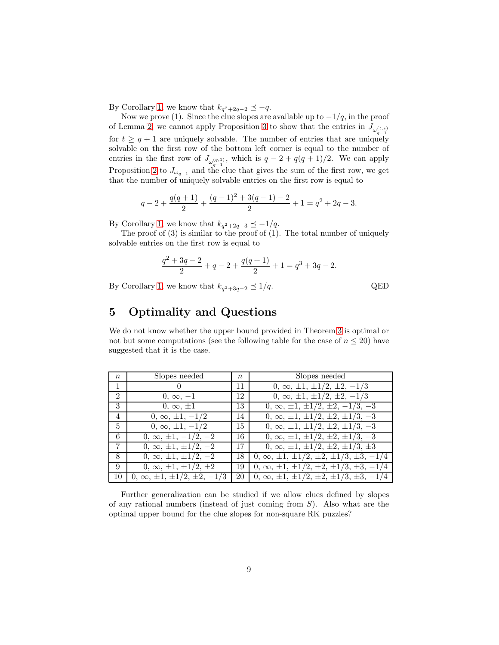By Corollary [1,](#page-5-1) we know that  $k_{q^2+2q-2} \preceq -q$ .

Now we prove (1). Since the clue slopes are available up to  $-1/q$ , in the proof of Lemma [2,](#page-6-1) we cannot apply Proposition [3](#page-3-1) to show that the entries in  $J_{\omega_{q-1}^{(t,s)}}$ for  $t \geq q+1$  are uniquely solvable. The number of entries that are uniquely solvable on the first row of the bottom left corner is equal to the number of entries in the first row of  $J_{\omega_{q-1}^{(q,1)}},$  which is  $q-2+q(q+1)/2$ . We can apply Proposition [2](#page-3-2) to  $J_{\omega_{q-1}}$  and the clue that gives the sum of the first row, we get that the number of uniquely solvable entries on the first row is equal to

$$
q - 2 + \frac{q(q+1)}{2} + \frac{(q-1)^2 + 3(q-1) - 2}{2} + 1 = q^2 + 2q - 3.
$$

By Corollary [1,](#page-5-1) we know that  $k_{q^2+2q-3} \preceq -1/q$ .

The proof of (3) is similar to the proof of (1). The total number of uniquely solvable entries on the first row is equal to

$$
\frac{q^2+3q-2}{2}+q-2+\frac{q(q+1)}{2}+1=q^3+3q-2.
$$

By Corollary [1,](#page-5-1) we know that  $k_{q^2+3q-2} \preceq 1/q$ . QED

## 5 Optimality and Questions

We do not know whether the upper bound provided in Theorem [3](#page-7-0) is optimal or not but some computations (see the following table for the case of  $n \leq 20$ ) have suggested that it is the case.

| $\boldsymbol{n}$ | Slopes needed                            | $\boldsymbol{n}$ | Slopes needed                                                            |
|------------------|------------------------------------------|------------------|--------------------------------------------------------------------------|
| $\mathbf{1}$     | $\Omega$                                 | 11               | $0, \infty, \pm 1, \pm 1/2, \pm 2, -1/3$                                 |
| 2                | $0, \infty, -1$                          | 12               | $0, \infty, \pm 1, \pm 1/2, \pm 2, -1/3$                                 |
| 3                | $0, \infty, \pm 1$                       | 13               | $0, \infty, \pm 1, \pm 1/2, \pm 2, -1/3, -3$                             |
| $\overline{4}$   | $0, \infty, \pm 1, -1/2$                 | 14               | $0, \infty, \pm 1, \pm 1/2, \pm 2, \pm 1/3, -3$                          |
| $5^{\circ}$      | $0, \infty, \pm 1, -1/2$                 | 15               | $0, \infty, \pm 1, \pm 1/2, \pm 2, \pm 1/3, -3$                          |
| 6                | $0, \infty, \pm 1, -1/2, -2$             | 16               | $0, \infty, \pm 1, \pm 1/2, \pm 2, \pm 1/3, -3$                          |
| 7                | $0, \infty, \pm 1, \pm 1/2, -2$          | 17               | $0, \infty, \pm 1, \pm 1/2, \pm 2, \pm 1/3, \pm 3$                       |
| 8                | $0, \infty, \pm 1, \pm 1/2, -2$          | 18               | $0, \infty, \pm 1, \pm 1/2, \pm 2, \pm 1/3, \pm 3, -1/4$                 |
| 9                | $0, \infty, \pm 1, \pm 1/2, \pm 2$       | 19               | $0, \infty, \pm 1, \pm 1/2, \pm 2, \pm 1/3, \pm 3, -1/4$                 |
| 10               | $0, \infty, \pm 1, \pm 1/2, \pm 2, -1/3$ | 20               | $\mid 0, \infty, \pm 1, \pm 1/2, \pm 2, \pm 1/3, \overline{\pm 3, -1/4}$ |

Further generalization can be studied if we allow clues defined by slopes of any rational numbers (instead of just coming from S). Also what are the optimal upper bound for the clue slopes for non-square RK puzzles?